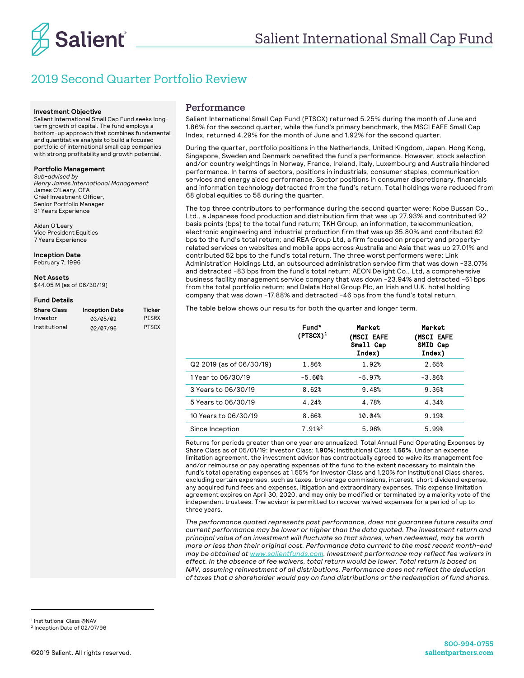

# 2019 Second Quarter Portfolio Review

#### **Investment Objective**

Salient International Small Cap Fund seeks longterm growth of capital. The fund employs a bottom-up approach that combines fundamental and quantitative analysis to build a focused portfolio of international small cap companies with strong profitability and growth potential.

#### **Portfolio Management**

*Sub-advised by Henry James International Management*  James O'Leary, CFA Chief Investment Officer, Senior Portfolio Manager 31 Years Experience

Aidan O'Leary Vice President Equities 7 Years Experience

**Inception Date**  February 7, 1996

**Net Assets** \$44.05 M (as of 06/30/19)

#### **Fund Details**

| Share Class   | <b>Inception Date</b> | Ticker       |
|---------------|-----------------------|--------------|
| Investor      | 03/05/02              | <b>PISRX</b> |
| Institutional | 02/07/96              | <b>PTSCX</b> |

### Performance

Salient International Small Cap Fund (PTSCX) returned 5.25% during the month of June and 1.86% for the second quarter, while the fund's primary benchmark, the MSCI EAFE Small Cap Index, returned 4.29% for the month of June and 1.92% for the second quarter.

During the quarter, portfolio positions in the Netherlands, United Kingdom, Japan, Hong Kong, Singapore, Sweden and Denmark benefited the fund's performance. However, stock selection and/or country weightings in Norway, France, Ireland, Italy, Luxembourg and Australia hindered performance. In terms of sectors, positions in industrials, consumer staples, communication services and energy aided performance. Sector positions in consumer discretionary, financials and information technology detracted from the fund's return. Total holdings were reduced from 68 global equities to 58 during the quarter.

The top three contributors to performance during the second quarter were: Kobe Bussan Co., Ltd., a Japanese food production and distribution firm that was up 27.93% and contributed 92 basis points (bps) to the total fund return; TKH Group, an information, telecommunication, electronic engineering and industrial production firm that was up 35.80% and contributed 62 bps to the fund's total return; and REA Group Ltd, a firm focused on property and propertyrelated services on websites and mobile apps across Australia and Asia that was up 27.01% and contributed 52 bps to the fund's total return. The three worst performers were: Link Administration Holdings Ltd, an outsourced administration service firm that was down -33.07% and detracted -83 bps from the fund's total return; AEON Delight Co., Ltd, a comprehensive business facility management service company that was down -23.94% and detracted -61 bps from the total portfolio return; and Dalata Hotel Group Plc, an Irish and U.K. hotel holding company that was down -17.88% and detracted -46 bps from the fund's total return.

The table below shows our results for both the quarter and longer term.

|                          | Fund*<br>$(PTSCX)^1$ | Market<br>(MSCI EAFE<br>Small Cap<br>Index) | Market<br><b>(MSCI EAFE</b><br>SMID Cap<br>Index) |
|--------------------------|----------------------|---------------------------------------------|---------------------------------------------------|
| Q2 2019 (as of 06/30/19) | 1.86%                | 1.92%                                       | 2.65%                                             |
| 1 Year to 06/30/19       | $-5.60%$             | $-5.97%$                                    | $-3.86%$                                          |
| 3 Years to 06/30/19      | 8.62%                | 9.48%                                       | 9.35%                                             |
| 5 Years to 06/30/19      | 4.24%                | 4.78%                                       | 4.34%                                             |
| 10 Years to 06/30/19     | 8.66%                | 10.04%                                      | 9.19%                                             |
| Since Inception          | 7.91% <sup>2</sup>   | 5.96%                                       | 5.99%                                             |

Returns for periods greater than one year are annualized. Total Annual Fund Operating Expenses by Share Class as of 05/01/19: Investor Class: **1.90%**; Institutional Class: **1.55%**. Under an expense limitation agreement, the investment advisor has contractually agreed to waive its management fee and/or reimburse or pay operating expenses of the fund to the extent necessary to maintain the fund's total operating expenses at 1.55% for Investor Class and 1.20% for Institutional Class shares, excluding certain expenses, such as taxes, brokerage commissions, interest, short dividend expense, any acquired fund fees and expenses, litigation and extraordinary expenses. This expense limitation agreement expires on April 30, 2020, and may only be modified or terminated by a majority vote of the independent trustees. The advisor is permitted to recover waived expenses for a period of up to three years.

*The performance quoted represents past performance, does not guarantee future results and current performance may be lower or higher than the data quoted. The investment return and principal value of an investment will fluctuate so that shares, when redeemed, may be worth more or less than their original cost. Performance data current to the most recent month-end may be obtained at www.salientfunds.com. Investment performance may reflect fee waivers in effect. In the absence of fee waivers, total return would be lower. Total return is based on NAV, assuming reinvestment of all distributions. Performance does not reflect the deduction of taxes that a shareholder would pay on fund distributions or the redemption of fund shares.*

<sup>1</sup> Institutional Class @NAV <sup>2</sup> Inception Date of 02/07/96

-

@2019 Salient. All rights reserved.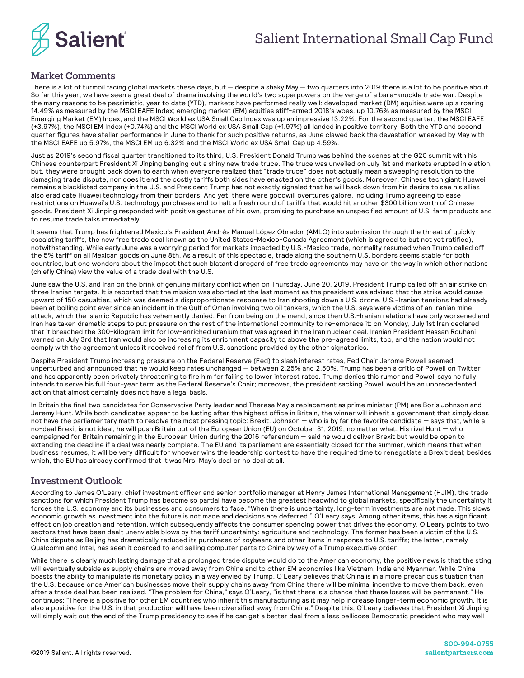

## Market Comments

There is a lot of turmoil facing global markets these days, but — despite a shaky May — two quarters into 2019 there is a lot to be positive about. So far this year, we have seen a great deal of drama involving the world's two superpowers on the verge of a bare-knuckle trade war. Despite the many reasons to be pessimistic, year to date (YTD), markets have performed really well: developed market (DM) equities were up a roaring 14.49% as measured by the MSCI EAFE Index; emerging market (EM) equities stiff-armed 2018's woes, up 10.76% as measured by the MSCI Emerging Market (EM) Index; and the MSCI World ex USA Small Cap Index was up an impressive 13.22%. For the second quarter, the MSCI EAFE (+3.97%), the MSCI EM Index (+0.74%) and the MSCI World ex USA Small Cap (+1.97%) all landed in positive territory. Both the YTD and second quarter figures have stellar performance in June to thank for such positive returns, as June clawed back the devastation wreaked by May with the MSCI EAFE up 5.97%, the MSCI EM up 6.32% and the MSCI World ex USA Small Cap up 4.59%.

Just as 2019's second fiscal quarter transitioned to its third, U.S. President Donald Trump was behind the scenes at the G20 summit with his Chinese counterpart President Xi Jinping banging out a shiny new trade truce. The truce was unveiled on July 1st and markets erupted in elation, but, they were brought back down to earth when everyone realized that "trade truce" does not actually mean a sweeping resolution to the damaging trade dispute, nor does it end the costly tariffs both sides have enacted on the other's goods. Moreover, Chinese tech giant Huawei remains a blacklisted company in the U.S. and President Trump has not exactly signaled that he will back down from his desire to see his allies also eradicate Huawei technology from their borders. And yet, there were goodwill overtures galore, including Trump agreeing to ease restrictions on Huawei's U.S. technology purchases and to halt a fresh round of tariffs that would hit another \$300 billion worth of Chinese goods. President Xi Jinping responded with positive gestures of his own, promising to purchase an unspecified amount of U.S. farm products and to resume trade talks immediately.

It seems that Trump has frightened Mexico's President Andrés Manuel López Obrador (AMLO) into submission through the threat of quickly escalating tariffs, the new free trade deal known as the United States-Mexico-Canada Agreement (which is agreed to but not yet ratified), notwithstanding. While early June was a worrying period for markets impacted by U.S.-Mexico trade, normality resumed when Trump called off the 5% tariff on all Mexican goods on June 8th. As a result of this spectacle, trade along the southern U.S. borders seems stable for both countries, but one wonders about the impact that such blatant disregard of free trade agreements may have on the way in which other nations (chiefly China) view the value of a trade deal with the U.S.

June saw the U.S. and Iran on the brink of genuine military conflict when on Thursday, June 20, 2019, President Trump called off an air strike on three Iranian targets. It is reported that the mission was aborted at the last moment as the president was advised that the strike would cause upward of 150 casualties, which was deemed a disproportionate response to Iran shooting down a U.S. drone. U.S.-Iranian tensions had already been at boiling point ever since an incident in the Gulf of Oman involving two oil tankers, which the U.S. says were victims of an Iranian mine attack, which the Islamic Republic has vehemently denied. Far from being on the mend, since then U.S.-Iranian relations have only worsened and Iran has taken dramatic steps to put pressure on the rest of the international community to re-embrace it: on Monday, July 1st Iran declared that it breached the 300-kilogram limit for low-enriched uranium that was agreed in the Iran nuclear deal. Iranian President Hassan Rouhani warned on July 3rd that Iran would also be increasing its enrichment capacity to above the pre-agreed limits, too, and the nation would not comply with the agreement unless it received relief from U.S. sanctions provided by the other signatories.

Despite President Trump increasing pressure on the Federal Reserve (Fed) to slash interest rates, Fed Chair Jerome Powell seemed unperturbed and announced that he would keep rates unchanged — between 2.25% and 2.50%. Trump has been a critic of Powell on Twitter and has apparently been privately threatening to fire him for failing to lower interest rates. Trump denies this rumor and Powell says he fully intends to serve his full four-year term as the Federal Reserve's Chair; moreover, the president sacking Powell would be an unprecedented action that almost certainly does not have a legal basis.

In Britain the final two candidates for Conservative Party leader and Theresa May's replacement as prime minister (PM) are Boris Johnson and Jeremy Hunt. While both candidates appear to be lusting after the highest office in Britain, the winner will inherit a government that simply does not have the parliamentary math to resolve the most pressing topic: Brexit. Johnson — who is by far the favorite candidate — says that, while a no-deal Brexit is not ideal, he will push Britain out of the European Union (EU) on October 31, 2019, no matter what. His rival Hunt — who campaigned for Britain remaining in the European Union during the 2016 referendum — said he would deliver Brexit but would be open to extending the deadline if a deal was nearly complete. The EU and its parliament are essentially closed for the summer, which means that when business resumes, it will be very difficult for whoever wins the leadership contest to have the required time to renegotiate a Brexit deal; besides which, the EU has already confirmed that it was Mrs. May's deal or no deal at all.

### Investment Outlook

According to James O'Leary, chief investment officer and senior portfolio manager at Henry James International Management (HJIM), the trade sanctions for which President Trump has become so partial have become the greatest headwind to global markets, specifically the uncertainty it forces the U.S. economy and its businesses and consumers to face. "When there is uncertainty, long-term investments are not made. This slows economic growth as investment into the future is not made and decisions are deferred," O'Leary says. Among other items, this has a significant effect on job creation and retention, which subsequently affects the consumer spending power that drives the economy. O'Leary points to two sectors that have been dealt unenviable blows by the tariff uncertainty: agriculture and technology. The former has been a victim of the U.S.- China dispute as Beijing has dramatically reduced its purchases of soybeans and other items in response to U.S. tariffs; the latter, namely Qualcomm and Intel, has seen it coerced to end selling computer parts to China by way of a Trump executive order.

While there is clearly much lasting damage that a prolonged trade dispute would do to the American economy, the positive news is that the sting will eventually subside as supply chains are moved away from China and to other EM economies like Vietnam, India and Myanmar. While China boasts the ability to manipulate its monetary policy in a way envied by Trump, O'Leary believes that China is in a more precarious situation than the U.S. because once American businesses move their supply chains away from China there will be minimal incentive to move them back, even after a trade deal has been realized. "The problem for China," says O'Leary, "is that there is a chance that these losses will be permanent." He continues: "There is a positive for other EM countries who inherit this manufacturing as it may help increase longer-term economic growth. It is also a positive for the U.S. in that production will have been diversified away from China." Despite this, O'Leary believes that President Xi Jinping will simply wait out the end of the Trump presidency to see if he can get a better deal from a less bellicose Democratic president who may well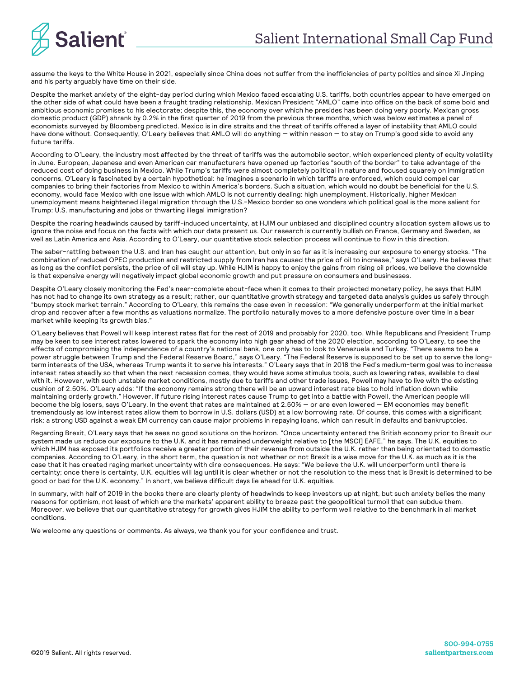

assume the keys to the White House in 2021, especially since China does not suffer from the inefficiencies of party politics and since Xi Jinping and his party arguably have time on their side.

Despite the market anxiety of the eight-day period during which Mexico faced escalating U.S. tariffs, both countries appear to have emerged on the other side of what could have been a fraught trading relationship. Mexican President "AMLO" came into office on the back of some bold and ambitious economic promises to his electorate; despite this, the economy over which he presides has been doing very poorly. Mexican gross domestic product (GDP) shrank by 0.2% in the first quarter of 2019 from the previous three months, which was below estimates a panel of economists surveyed by Bloomberg predicted. Mexico is in dire straits and the threat of tariffs offered a layer of instability that AMLO could have done without. Consequently, O'Leary believes that AMLO will do anything — within reason — to stay on Trump's good side to avoid any future tariffs.

According to O'Leary, the industry most affected by the threat of tariffs was the automobile sector, which experienced plenty of equity volatility in June. European, Japanese and even American car manufacturers have opened up factories "south of the border" to take advantage of the reduced cost of doing business in Mexico. While Trump's tariffs were almost completely political in nature and focused squarely on immigration concerns, O'Leary is fascinated by a certain hypothetical: he imagines a scenario in which tariffs are enforced, which could compel car companies to bring their factories from Mexico to within America's borders. Such a situation, which would no doubt be beneficial for the U.S. economy, would face Mexico with one issue with which AMLO is not currently dealing: high unemployment. Historically, higher Mexican unemployment means heightened illegal migration through the U.S.-Mexico border so one wonders which political goal is the more salient for Trump: U.S. manufacturing and jobs or thwarting illegal immigration?

Despite the roaring headwinds caused by tariff-induced uncertainty, at HJIM our unbiased and disciplined country allocation system allows us to ignore the noise and focus on the facts with which our data present us. Our research is currently bullish on France, Germany and Sweden, as well as Latin America and Asia. According to O'Leary, our quantitative stock selection process will continue to flow in this direction.

The saber-rattling between the U.S. and Iran has caught our attention, but only in so far as it is increasing our exposure to energy stocks. "The combination of reduced OPEC production and restricted supply from Iran has caused the price of oil to increase," says O'Leary. He believes that as long as the conflict persists, the price of oil will stay up. While HJIM is happy to enjoy the gains from rising oil prices, we believe the downside is that expensive energy will negatively impact global economic growth and put pressure on consumers and businesses.

Despite O'Leary closely monitoring the Fed's near-complete about-face when it comes to their projected monetary policy, he says that HJIM has not had to change its own strategy as a result; rather, our quantitative growth strategy and targeted data analysis guides us safely through "bumpy stock market terrain." According to O'Leary, this remains the case even in recession: "We generally underperform at the initial market drop and recover after a few months as valuations normalize. The portfolio naturally moves to a more defensive posture over time in a bear market while keeping its growth bias."

O'Leary believes that Powell will keep interest rates flat for the rest of 2019 and probably for 2020, too. While Republicans and President Trump may be keen to see interest rates lowered to spark the economy into high gear ahead of the 2020 election, according to O'Leary, to see the effects of compromising the independence of a country's national bank, one only has to look to Venezuela and Turkey. "There seems to be a power struggle between Trump and the Federal Reserve Board," says O'Leary. "The Federal Reserve is supposed to be set up to serve the longterm interests of the USA, whereas Trump wants it to serve his interests." O'Leary says that in 2018 the Fed's medium-term goal was to increase interest rates steadily so that when the next recession comes, they would have some stimulus tools, such as lowering rates, available to deal with it. However, with such unstable market conditions, mostly due to tariffs and other trade issues, Powell may have to live with the existing cushion of 2.50%. O'Leary adds: "If the economy remains strong there will be an upward interest rate bias to hold inflation down while maintaining orderly growth." However, if future rising interest rates cause Trump to get into a battle with Powell, the American people will become the big losers, says O'Leary. In the event that rates are maintained at 2.50% — or are even lowered — EM economies may benefit tremendously as low interest rates allow them to borrow in U.S. dollars (USD) at a low borrowing rate. Of course, this comes with a significant risk: a strong USD against a weak EM currency can cause major problems in repaying loans, which can result in defaults and bankruptcies.

Regarding Brexit, O'Leary says that he sees no good solutions on the horizon. "Once uncertainty entered the British economy prior to Brexit our system made us reduce our exposure to the U.K. and it has remained underweight relative to [the MSCI] EAFE," he says. The U.K. equities to which HJIM has exposed its portfolios receive a greater portion of their revenue from outside the U.K. rather than being orientated to domestic companies. According to O'Leary, in the short term, the question is not whether or not Brexit is a wise move for the U.K. as much as it is the case that it has created raging market uncertainty with dire consequences. He says: "We believe the U.K. will underperform until there is certainty; once there is certainty, U.K. equities will lag until it is clear whether or not the resolution to the mess that is Brexit is determined to be good or bad for the U.K. economy." In short, we believe difficult days lie ahead for U.K. equities.

In summary, with half of 2019 in the books there are clearly plenty of headwinds to keep investors up at night, but such anxiety belies the many reasons for optimism, not least of which are the markets' apparent ability to breeze past the geopolitical turmoil that can subdue them. Moreover, we believe that our quantitative strategy for growth gives HJIM the ability to perform well relative to the benchmark in all market conditions.

We welcome any questions or comments. As always, we thank you for your confidence and trust.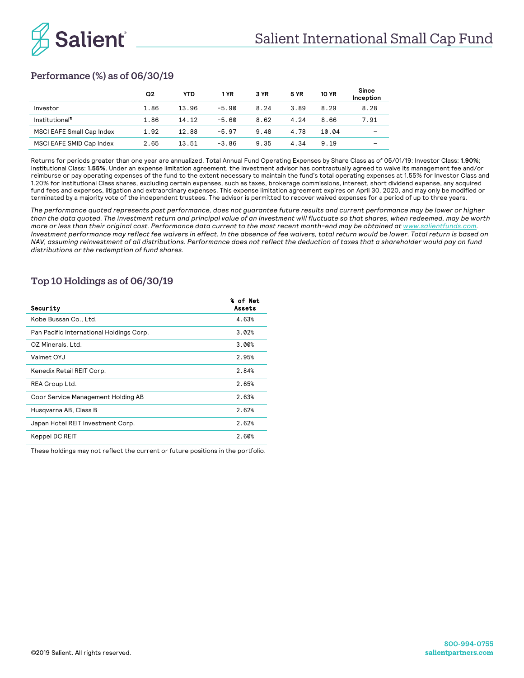

# Performance (%) as of 06/30/19

|                                  | Q2   | <b>YTD</b> | 1 YR    | 3 YR | <b>5 YR</b> | <b>10 YR</b> | Since<br>Inception |
|----------------------------------|------|------------|---------|------|-------------|--------------|--------------------|
| Investor                         | 1.86 | 13.96      | $-5.90$ | 8.24 | 3.89        | 8.29         | 8.28               |
| Institutional <sup>¶</sup>       | 1.86 | 14.12      | $-5.60$ | 8.62 | 4.24        | 8.66         | 7.91               |
| <b>MSCI EAFE Small Cap Index</b> | 1.92 | 12.88      | $-5.97$ | 9.48 | 4.78        | 10.04        |                    |
| MSCI EAFE SMID Cap Index         | 2.65 | 13.51      | $-3.86$ | 9.35 | 4.34        | 9.19         |                    |

Returns for periods greater than one year are annualized. Total Annual Fund Operating Expenses by Share Class as of 05/01/19: Investor Class: **1.90%**; Institutional Class: **1.55%**. Under an expense limitation agreement, the investment advisor has contractually agreed to waive its management fee and/or reimburse or pay operating expenses of the fund to the extent necessary to maintain the fund's total operating expenses at 1.55% for Investor Class and 1.20% for Institutional Class shares, excluding certain expenses, such as taxes, brokerage commissions, interest, short dividend expense, any acquired fund fees and expenses, litigation and extraordinary expenses. This expense limitation agreement expires on April 30, 2020, and may only be modified or terminated by a majority vote of the independent trustees. The advisor is permitted to recover waived expenses for a period of up to three years.

*The performance quoted represents past performance, does not guarantee future results and current performance may be lower or higher than the data quoted. The investment return and principal value of an investment will fluctuate so that shares, when redeemed, may be worth more or less than their original cost. Performance data current to the most recent month-end may be obtained at www.salientfunds.com. Investment performance may reflect fee waivers in effect. In the absence of fee waivers, total return would be lower. Total return is based on NAV*, assuming reinvestment of all distributions. Performance does not reflect the deduction of taxes that a shareholder would pay on fund *distributions or the redemption of fund shares.*

# Top 10 Holdings as of 06/30/19

| Security                                 | % of Net<br>Assets |
|------------------------------------------|--------------------|
| Kobe Bussan Co., Ltd.                    | 4.63%              |
| Pan Pacific International Holdings Corp. | 3.02%              |
| OZ Minerals, Ltd.                        | 3.00%              |
| Valmet OYJ                               | 2.95%              |
| Kenedix Retail REIT Corp.                | 2.84%              |
| REA Group Ltd.                           | 2.65%              |
| Coor Service Management Holding AB       | 2.63%              |
| Husqvarna AB, Class B                    | 2.62%              |
| Japan Hotel REIT Investment Corp.        | 2.62%              |
| Keppel DC REIT                           | 2.60%              |
|                                          |                    |

These holdings may not reflect the current or future positions in the portfolio.